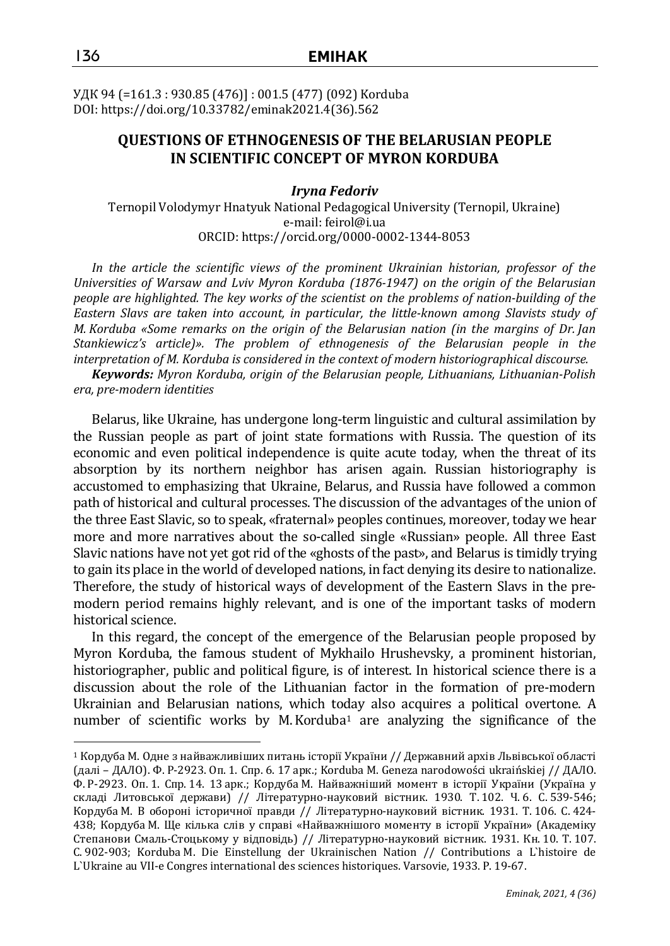УДК 94 (=161.3 : 930.85 (476)] : 001.5 (477) (092) Korduba DOI: https://doi.org/10.33782/eminak2021.4(36).562

# **QUESTIONS OF ETHNOGENESIS OF THE BELARUSIAN PEOPLE IN SCIENTIFIC CONCEPT OF MYRON KORDUBA**

### *Iryna Fedoriv*

Ternopil Volodymyr Hnatyuk National Pedagogical University (Ternopil, Ukraine) e-mail: feirol@i.ua ORCID: https://orcid.org/0000-0002-1344-8053

*In the article the scientific views of the prominent Ukrainian historian, professor of the Universities of Warsaw and Lviv Myron Korduba (1876-1947) on the origin of the Belarusian people are highlighted. The key works of the scientist on the problems of nation-building of the Eastern Slavs are taken into account, in particular, the little-known among Slavists study of M. Korduba «Some remarks on the origin of the Belarusian nation (in the margins of Dr. Jan Stankiewicz's article)». The problem of ethnogenesis of the Belarusian people in the interpretation of M. Korduba is considered in the context of modern historiographical discourse.*

*Keywords: Myron Korduba, origin of the Belarusian people, Lithuanians, Lithuanian-Polish era, pre-modern identities*

Belarus, like Ukraine, has undergone long-term linguistic and cultural assimilation by the Russian people as part of joint state formations with Russia. The question of its economic and even political independence is quite acute today, when the threat of its absorption by its northern neighbor has arisen again. Russian historiography is accustomed to emphasizing that Ukraine, Belarus, and Russia have followed a common path of historical and cultural processes. The discussion of the advantages of the union of the three East Slavic, so to speak, «fraternal» peoples continues, moreover, today we hear more and more narratives about the so-called single «Russian» people. All three East Slavic nations have not yet got rid of the «ghosts of the past», and Belarus is timidly trying to gain its place in the world of developed nations, in fact denying its desire to nationalize. Therefore, the study of historical ways of development of the Eastern Slavs in the premodern period remains highly relevant, and is one of the important tasks of modern historical science.

In this regard, the concept of the emergence of the Belarusian people proposed by Myron Korduba, the famous student of Mykhailo Hrushevsky, a prominent historian, historiographer, public and political figure, is of interest. In historical science there is a discussion about the role of the Lithuanian factor in the formation of pre-modern Ukrainian and Belarusian nations, which today also acquires a political overtone. A number of scientific works by M.Korduba<sup>1</sup> are analyzing the significance of the

 $^1$  Кордуба М. Одне з найважливіших питань історії України // Державний архів Львівської області (далі – ДАЛО). Ф. Р-2923. Оп. 1. Спр. 6. 17 арк.; Korduba M. Geneza narodowości ukraińskiej // ДАЛО. Ф. Р-2923. Оп. 1. Спр. 14. 13 арк.; Кордуба М. Найважніший момент в історії України (Україна у складі Литовської держави) // Літературно-науковий вістник. 1930. Т. 102. Ч. 6. С. 539-546; Кордуба М. В обороні історичної правди // Літературно-науковий вістник. 1931. Т. 106. С. 424- 438; Кордуба М. Ще кілька слів у справі «Найважнішого моменту в історії України» (Академіку Степанови Смаль-Стоцькому у відповідь) // Літературно-науковий вістник. 1931. Кн. 10. Т. 107. С. 902-903; Korduba M. Die Einstellung der Ukrainisсhen Nation // Contributions a L`histoire de L`Ukraine au VII-e Congres international des sciences historiques. Varsovie, 1933. P. 19-67.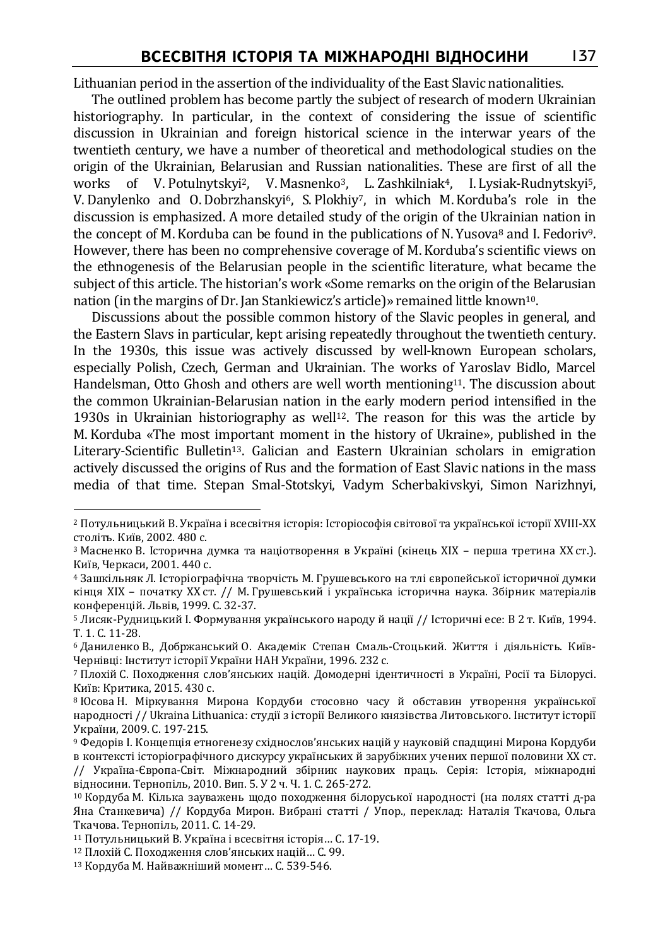Lithuanian period in the assertion of the individuality of the East Slavic nationalities.

The outlined problem has become partly the subject of research of modern Ukrainian historiography. In particular, in the context of considering the issue of scientific discussion in Ukrainian and foreign historical science in the interwar years of the twentieth century, we have a number of theoretical and methodological studies on the origin of the Ukrainian, Belarusian and Russian nationalities. These are first of all the works of V. Potulnytskyi<sup>2</sup>, V. Masnenko<sup>3</sup>, L. Zashkilniak<sup>4</sup>, I. Lysiak-Rudnytskyi<sup>5</sup>, V. Danylenko and O. Dobrzhanskyi<sup>6</sup>, S. Plokhiy<sup>7</sup>, in which M. Korduba's role in the discussion is emphasized. A more detailed study of the origin of the Ukrainian nation in the concept of M. Korduba can be found in the publications of N. Yusova<sup>8</sup> and I. Fedoriv<sup>9</sup>. However, there has been no comprehensive coverage of M.Korduba's scientific views on the ethnogenesis of the Belarusian people in the scientific literature, what became the subject of this article. The historian's work «Some remarks on the origin of the Belarusian nation (in the margins of Dr. Jan Stankiewicz's article)» remained little known<sup>10</sup>.

Discussions about the possible common history of the Slavic peoples in general, and the Eastern Slavs in particular, kept arising repeatedly throughout the twentieth century. In the 1930s, this issue was actively discussed by well-known European scholars, especially Polish, Czech, German and Ukrainian. The works of Yaroslav Bidlo, Marcel Handelsman, Otto Ghosh and others are well worth mentioning<sup>11</sup>. The discussion about the common Ukrainian-Belarusian nation in the early modern period intensified in the 1930s in Ukrainian historiography as well<sup>12</sup>. The reason for this was the article by M. Korduba «The most important moment in the history of Ukraine», published in the Literary-Scientific Bulletin13. Galician and Eastern Ukrainian scholars in emigration actively discussed the origins of Rus and the formation of East Slavic nations in the mass media of that time. Stepan Smal-Stotskyi, Vadym Scherbakivskyi, Simon Narizhnyi,

 $\overline{a}$ <sup>2</sup> Потульницький В. Україна і всесвітня історія: Історіософія світової та української історії ХVІІІ-ХХ століть. Київ, 2002. 480 с.

<sup>3</sup> Масненко В. Історична думка та націотворення в Україні (кінець ХІХ – перша третина ХХ ст.). Київ, Черкаси, 2001. 440 с.

<sup>4</sup> Зашкільняк Л. Історіографічна творчість М. Грушевського на тлі європейської історичної думки кінця ХІХ – початку ХХ ст. // М. Грушевський і українська історична наука. Збірник матеріалів конференцій. Львів, 1999. С. 32-37.

<sup>5</sup> Лисяк-Рудницький І. Формування українського народу й нації // Історичні есе: В 2 т. Київ, 1994. Т. 1. С. 11-28.

<sup>6</sup> Даниленко В., Добржанський О. Академік Степан Смаль-Стоцький. Життя і діяльність. Київ-Чернівці: Інститут історії України НАН України, 1996. 232 с.

<sup>7</sup> Плохій С. Походження слов'янських націй. Домодерні ідентичності в Україні, Росії та Білорусі. Київ: Критика, 2015. 430 с.

<sup>8</sup> Юсова Н. Міркування Мирона Кордуби стосовно часу й обставин утворення української народності // Ukraina Lithuanica: студії з історії Великого князівства Литовського. Інститут історії України, 2009. C. 197-215.

<sup>9</sup> Федорів І. Концепція етногенезу східнослов'янських націй у науковій спадщині Мирона Кордуби в контексті історіографічного дискурсу українських й зарубіжних учених першої половини ХХ ст. // Україна-Європа-Світ. Міжнародний збірник наукових праць. Серія: Історія, міжнародні відносини. Тернопіль, 2010. Вип. 5. У 2 ч. Ч. 1. С. 265-272.

<sup>10</sup> Кордуба М. Кілька зауважень щодо походження білоруської народності (на полях статті д-ра Яна Станкевича) // Кордуба Мирон. Вибрані статті / Упор., переклад: Наталія Ткачова, Ольга Ткачова. Тернопіль, 2011. С. 14-29.

<sup>11</sup> Потульницький В. Україна і всесвітня історія… С. 17-19.

<sup>12</sup> Плохій С. Походження слов'янських націй… С. 99.

<sup>13</sup> Кордуба М. Найважніший момент… С. 539-546.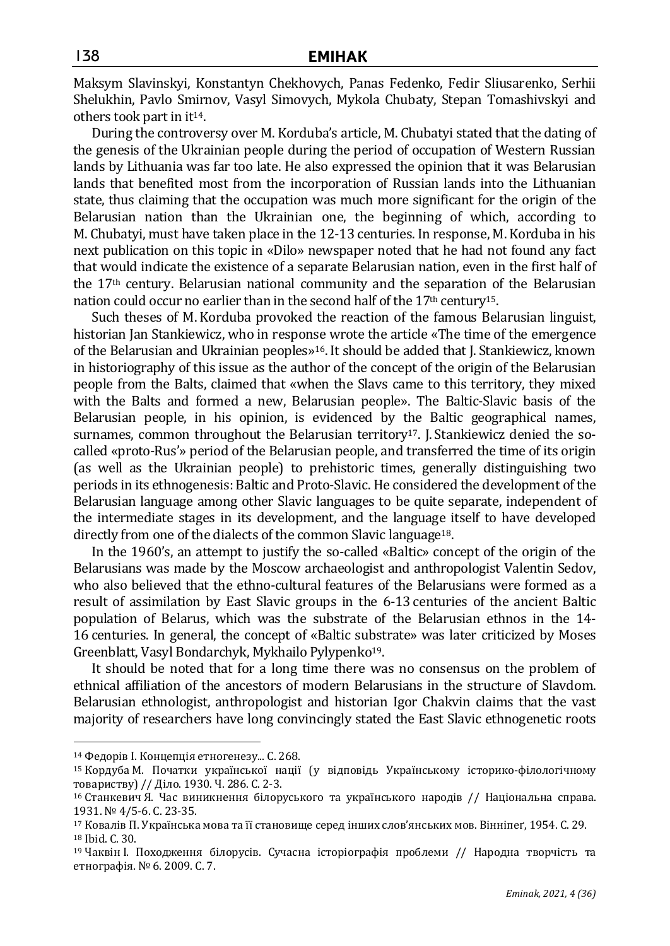Maksym Slavinskyi, Konstantyn Chekhovych, Panas Fedenko, Fedir Sliusarenko, Serhii Shelukhin, Pavlo Smirnov, Vasyl Simovych, Mykola Chubaty, Stepan Tomashivskyi and others took part in it14.

During the controversy over M. Korduba's article, M. Chubatyi stated that the dating of the genesis of the Ukrainian people during the period of occupation of Western Russian lands by Lithuania was far too late. He also expressed the opinion that it was Belarusian lands that benefited most from the incorporation of Russian lands into the Lithuanian state, thus claiming that the occupation was much more significant for the origin of the Belarusian nation than the Ukrainian one, the beginning of which, according to M. Chubatyi, must have taken place in the 12-13 centuries. In response, M.Korduba in his next publication on this topic in «Dilo» newspaper noted that he had not found any fact that would indicate the existence of a separate Belarusian nation, even in the first half of the 17th century. Belarusian national community and the separation of the Belarusian nation could occur no earlier than in the second half of the  $17<sup>th</sup>$  century<sup>15</sup>.

Such theses of M. Korduba provoked the reaction of the famous Belarusian linguist, historian Jan Stankiewicz, who in response wrote the article «The time of the emergence of the Belarusian and Ukrainian peoples»16. It should be added that J. Stankiewicz, known in historiography of this issue as the author of the concept of the origin of the Belarusian people from the Balts, claimed that «when the Slavs came to this territory, they mixed with the Balts and formed a new, Belarusian people». The Baltic-Slavic basis of the Belarusian people, in his opinion, is evidenced by the Baltic geographical names, surnames, common throughout the Belarusian territory<sup>17</sup>. J. Stankiewicz denied the socalled «proto-Rus'» period of the Belarusian people, and transferred the time of its origin (as well as the Ukrainian people) to prehistoric times, generally distinguishing two periods in its ethnogenesis: Baltic and Proto-Slavic. He considered the development of the Belarusian language among other Slavic languages to be quite separate, independent of the intermediate stages in its development, and the language itself to have developed directly from one of the dialects of the common Slavic language<sup>18</sup>.

In the 1960's, an attempt to justify the so-called «Baltic» concept of the origin of the Belarusians was made by the Moscow archaeologist and anthropologist Valentin Sedov, who also believed that the ethno-cultural features of the Belarusians were formed as a result of assimilation by East Slavic groups in the 6-13 centuries of the ancient Baltic population of Belarus, which was the substrate of the Belarusian ethnos in the 14- 16 centuries. In general, the concept of «Baltic substrate» was later criticized by Moses Greenblatt, Vasyl Bondarchyk, Mykhailo Pylypenko19.

It should be noted that for a long time there was no consensus on the problem of ethnical affiliation of the ancestors of modern Belarusians in the structure of Slavdom. Belarusian ethnologist, anthropologist and historian Igor Chakvin claims that the vast majority of researchers have long convincingly stated the East Slavic ethnogenetic roots

<sup>14</sup> Федорів І. Концепція етногенезу... С. 268.

<sup>15</sup> Кордуба М. Початки української нації (у відповідь Українському історико-філологічному товариству) // Діло. 1930. Ч. 286. С. 2-3.

<sup>16</sup> Станкевич Я. Час виникнення білоруського та українського народів // Національна справа. 1931. № 4/5-6. С. 23-35.

<sup>17</sup> Ковалів П. Українська мова та її становище серед інших слов'янських мов. Вінніпеґ, 1954. С. 29. <sup>18</sup> Ibid. С. 30.

<sup>19</sup> Чаквін І. Походження білорусів. Сучасна історіографія проблеми // Народна творчість та етнографія. № 6. 2009. С. 7.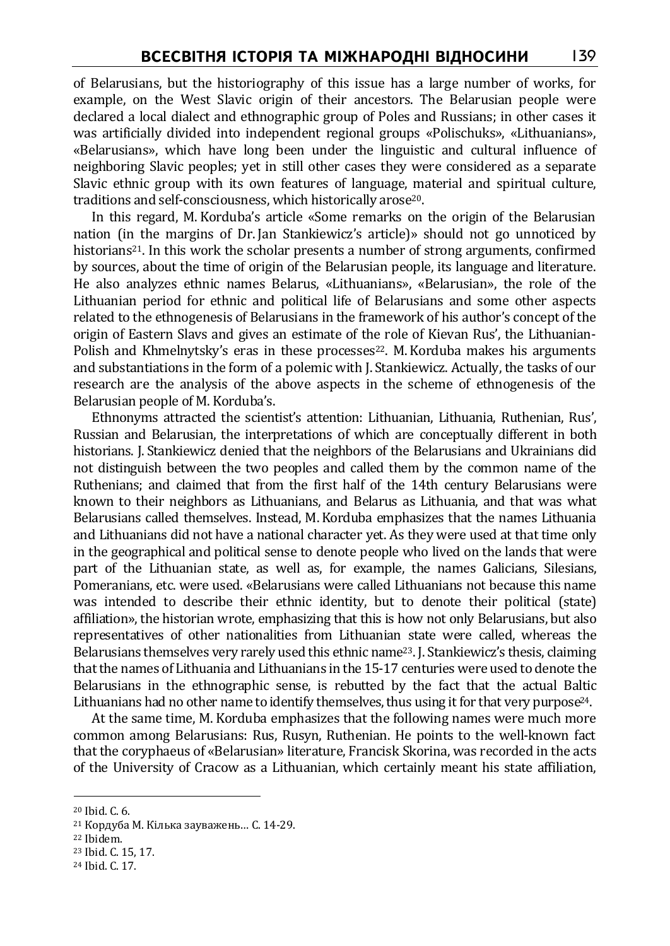of Belarusians, but the historiography of this issue has a large number of works, for example, on the West Slavic origin of their ancestors. The Belarusian people were declared a local dialect and ethnographic group of Poles and Russians; in other cases it was artificially divided into independent regional groups «Polischuks», «Lithuanians», «Belarusians», which have long been under the linguistic and cultural influence of neighboring Slavic peoples; yet in still other cases they were considered as a separate Slavic ethnic group with its own features of language, material and spiritual culture, traditions and self-consciousness, which historically arose<sup>20</sup>.

In this regard, M. Korduba's article «Some remarks on the origin of the Belarusian nation (in the margins of Dr. Jan Stankiewicz's article)» should not go unnoticed by historians<sup>21</sup>. In this work the scholar presents a number of strong arguments, confirmed by sources, about the time of origin of the Belarusian people, its language and literature. He also analyzes ethnic names Belarus, «Lithuanians», «Belarusian», the role of the Lithuanian period for ethnic and political life of Belarusians and some other aspects related to the ethnogenesis of Belarusians in the framework of his author's concept of the origin of Eastern Slavs and gives an estimate of the role of Kievan Rus', the Lithuanian-Polish and Khmelnytsky's eras in these processes<sup>22</sup>. M. Korduba makes his arguments and substantiations in the form of a polemic with J. Stankiewicz. Actually, the tasks of our research are the analysis of the above aspects in the scheme of ethnogenesis of the Belarusian people of M. Korduba's.

Ethnonyms attracted the scientist's attention: Lithuanian, Lithuania, Ruthenian, Rus', Russian and Belarusian, the interpretations of which are conceptually different in both historians. J. Stankiewicz denied that the neighbors of the Belarusians and Ukrainians did not distinguish between the two peoples and called them by the common name of the Ruthenians; and claimed that from the first half of the 14th century Belarusians were known to their neighbors as Lithuanians, and Belarus as Lithuania, and that was what Belarusians called themselves. Instead, M.Korduba emphasizes that the names Lithuania and Lithuanians did not have a national character yet. As they were used at that time only in the geographical and political sense to denote people who lived on the lands that were part of the Lithuanian state, as well as, for example, the names Galicians, Silesians, Pomeranians, etc. were used. «Belarusians were called Lithuanians not because this name was intended to describe their ethnic identity, but to denote their political (state) affiliation», the historian wrote, emphasizing that this is how not only Belarusians, but also representatives of other nationalities from Lithuanian state were called, whereas the Belarusians themselves very rarely used this ethnic name<sup>23</sup>. J. Stankiewicz's thesis, claiming that the names of Lithuania and Lithuanians in the 15-17 centuries were used to denote the Belarusians in the ethnographic sense, is rebutted by the fact that the actual Baltic Lithuanians had no other name to identify themselves, thus using it for that very purpose<sup>24</sup>.

At the same time, M. Korduba emphasizes that the following names were much more common among Belarusians: Rus, Rusyn, Ruthenian. He points to the well-known fact that the coryphaeus of «Belarusian» literature, Francisk Skorina, was recorded in the acts of the University of Cracow as a Lithuanian, which certainly meant his state affiliation,

 $\overline{a}$ 

<sup>22</sup> Ibidem.

<sup>20</sup> Ibid. С. 6.

<sup>21</sup> Кордуба М. Кілька зауважень… С. 14-29.

<sup>23</sup> Ibid. С. 15, 17.

<sup>24</sup> Ibid. С. 17.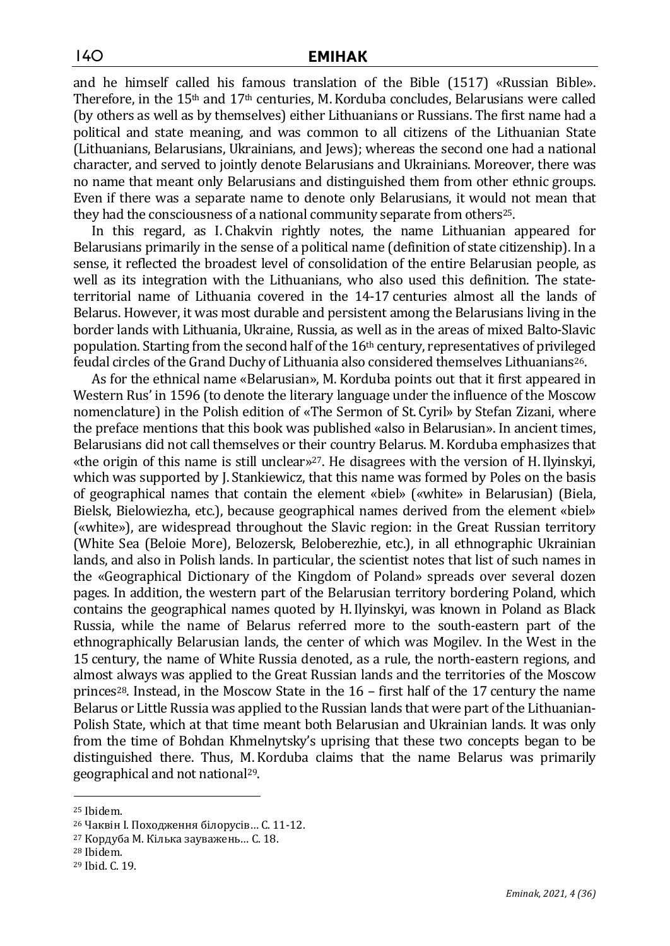and he himself called his famous translation of the Bible (1517) «Russian Bible». Therefore, in the  $15<sup>th</sup>$  and  $17<sup>th</sup>$  centuries, M. Korduba concludes, Belarusians were called (by others as well as by themselves) either Lithuanians or Russians. The first name had a political and state meaning, and was common to all citizens of the Lithuanian State (Lithuanians, Belarusians, Ukrainians, and Jews); whereas the second one had a national character, and served to jointly denote Belarusians and Ukrainians. Moreover, there was no name that meant only Belarusians and distinguished them from other ethnic groups. Even if there was a separate name to denote only Belarusians, it would not mean that they had the consciousness of a national community separate from others<sup>25</sup>.

In this regard, as I. Chakvin rightly notes, the name Lithuanian appeared for Belarusians primarily in the sense of a political name (definition of state citizenship). In a sense, it reflected the broadest level of consolidation of the entire Belarusian people, as well as its integration with the Lithuanians, who also used this definition. The stateterritorial name of Lithuania covered in the 14-17 centuries almost all the lands of Belarus. However, it was most durable and persistent among the Belarusians living in the border lands with Lithuania, Ukraine, Russia, as well as in the areas of mixed Balto-Slavic population. Starting from the second half of the 16th century, representatives of privileged feudal circles of the Grand Duchy of Lithuania also considered themselves Lithuanians<sup>26</sup>.

As for the ethnical name «Belarusian», M. Korduba points out that it first appeared in Western Rus' in 1596 (to denote the literary language under the influence of the Moscow nomenclature) in the Polish edition of «The Sermon of St. Cyril» by Stefan Zizani, where the preface mentions that this book was published «also in Belarusian». In ancient times, Belarusians did not call themselves or their country Belarus. M.Korduba emphasizes that «the origin of this name is still unclear»27. He disagrees with the version of H.Ilyinskyi, which was supported by J. Stankiewicz, that this name was formed by Poles on the basis of geographical names that contain the element «biel» («white» in Belarusian) (Biela, Bielsk, Bielowiezha, etc.), because geographical names derived from the element «biel» («white»), are widespread throughout the Slavic region: in the Great Russian territory (White Sea (Beloie More), Belozersk, Beloberezhie, etc.), in all ethnographic Ukrainian lands, and also in Polish lands. In particular, the scientist notes that list of such names in the «Geographical Dictionary of the Kingdom of Poland» spreads over several dozen pages. In addition, the western part of the Belarusian territory bordering Poland, which contains the geographical names quoted by H.Ilyinskyi, was known in Poland as Black Russia, while the name of Belarus referred more to the south-eastern part of the ethnographically Belarusian lands, the center of which was Mogilev. In the West in the 15 century, the name of White Russia denoted, as a rule, the north-eastern regions, and almost always was applied to the Great Russian lands and the territories of the Moscow princes<sup>28</sup>. Instead, in the Moscow State in the  $16$  – first half of the 17 century the name Belarus or Little Russia was applied to the Russian lands that were part of the Lithuanian-Polish State, which at that time meant both Belarusian and Ukrainian lands. It was only from the time of Bohdan Khmelnytsky's uprising that these two concepts began to be distinguished there. Thus, M. Korduba claims that the name Belarus was primarily geographical and not national29.

<sup>25</sup> Ibidem.

<sup>26</sup> Чаквін І. Походження білорусів… С. 11-12.

<sup>27</sup> Кордуба М. Кілька зауважень… С. 18.

<sup>28</sup> Ibidem.

<sup>29</sup> Ibid. С. 19.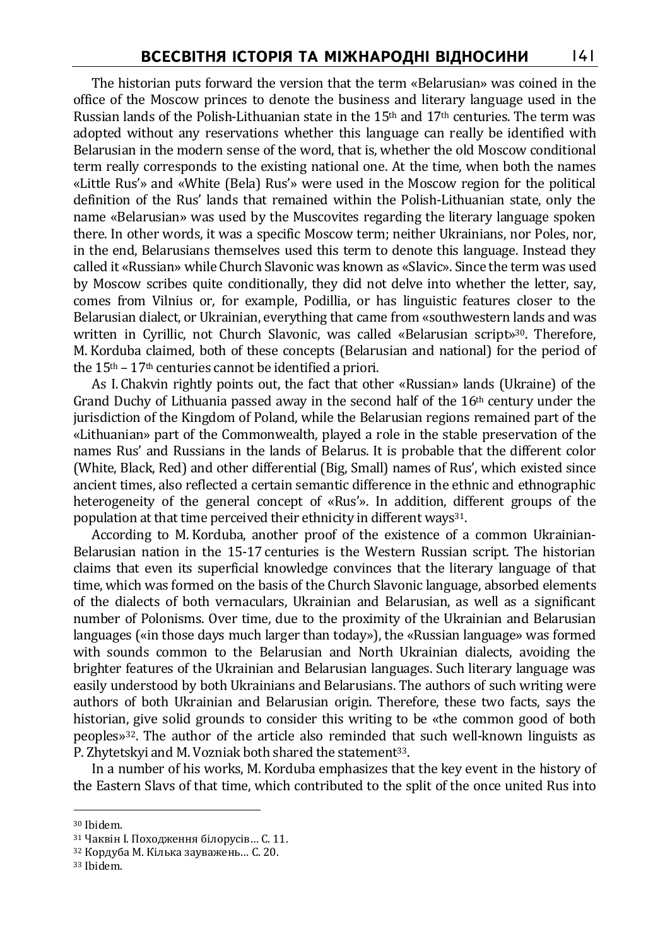The historian puts forward the version that the term «Belarusian» was coined in the office of the Moscow princes to denote the business and literary language used in the Russian lands of the Polish-Lithuanian state in the  $15<sup>th</sup>$  and  $17<sup>th</sup>$  centuries. The term was adopted without any reservations whether this language can really be identified with Belarusian in the modern sense of the word, that is, whether the old Moscow conditional term really corresponds to the existing national one. At the time, when both the names «Little Rus'» and «White (Bela) Rus'» were used in the Moscow region for the political definition of the Rus' lands that remained within the Polish-Lithuanian state, only the name «Belarusian» was used by the Muscovites regarding the literary language spoken there. In other words, it was a specific Moscow term; neither Ukrainians, nor Poles, nor, in the end, Belarusians themselves used this term to denote this language. Instead they called it «Russian» while Church Slavonic was known as «Slavic». Since the term was used by Moscow scribes quite conditionally, they did not delve into whether the letter, say, comes from Vilnius or, for example, Podillia, or has linguistic features closer to the Belarusian dialect, or Ukrainian, everything that came from «southwestern lands and was written in Cyrillic, not Church Slavonic, was called «Belarusian script»30. Therefore, M. Korduba claimed, both of these concepts (Belarusian and national) for the period of the  $15<sup>th</sup> - 17<sup>th</sup>$  centuries cannot be identified a priori.

As I. Chakvin rightly points out, the fact that other «Russian» lands (Ukraine) of the Grand Duchy of Lithuania passed away in the second half of the  $16<sup>th</sup>$  century under the jurisdiction of the Kingdom of Poland, while the Belarusian regions remained part of the «Lithuanian» part of the Commonwealth, played a role in the stable preservation of the names Rus' and Russians in the lands of Belarus. It is probable that the different color (White, Black, Red) and other differential (Big, Small) names of Rus', which existed since ancient times, also reflected a certain semantic difference in the ethnic and ethnographic heterogeneity of the general concept of «Rus'». In addition, different groups of the population at that time perceived their ethnicity in different ways<sup>31</sup>.

According to M. Korduba, another proof of the existence of a common Ukrainian-Belarusian nation in the 15-17 centuries is the Western Russian script. The historian claims that even its superficial knowledge convinces that the literary language of that time, which was formed on the basis of the Church Slavonic language, absorbed elements of the dialects of both vernaculars, Ukrainian and Belarusian, as well as a significant number of Polonisms. Over time, due to the proximity of the Ukrainian and Belarusian languages («in those days much larger than today»), the «Russian language» was formed with sounds common to the Belarusian and North Ukrainian dialects, avoiding the brighter features of the Ukrainian and Belarusian languages. Such literary language was easily understood by both Ukrainians and Belarusians. The authors of such writing were authors of both Ukrainian and Belarusian origin. Therefore, these two facts, says the historian, give solid grounds to consider this writing to be «the common good of both peoples»32. The author of the article also reminded that such well-known linguists as P. Zhvtetskyi and M. Vozniak both shared the statement<sup>33</sup>.

In a number of his works, M. Korduba emphasizes that the key event in the history of the Eastern Slavs of that time, which contributed to the split of the once united Rus into

<sup>30</sup> Ibidem.

<sup>31</sup> Чаквін І. Походження білорусів… С. 11.

<sup>32</sup> Кордуба М. Кілька зауважень… С. 20.

<sup>33</sup> Ibidem.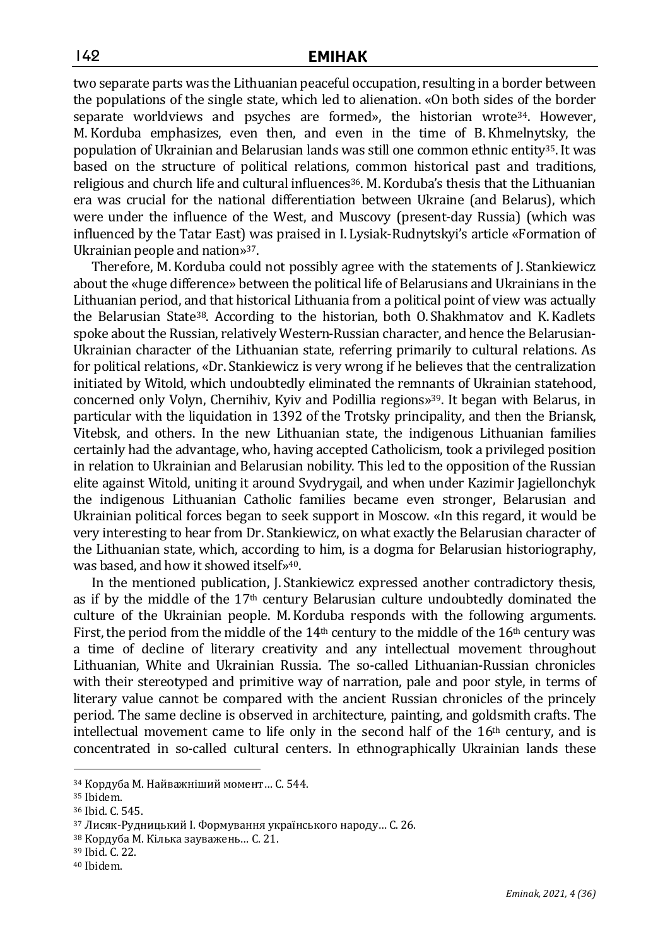two separate parts was the Lithuanian peaceful occupation, resulting in a border between the populations of the single state, which led to alienation. «On both sides of the border separate worldviews and psyches are formed», the historian wrote<sup>34</sup>. However, M. Korduba emphasizes, even then, and even in the time of B.Khmelnytsky, the population of Ukrainian and Belarusian lands was still one common ethnic entity<sup>35</sup>. It was based on the structure of political relations, common historical past and traditions, religious and church life and cultural influences<sup>36</sup>. M. Korduba's thesis that the Lithuanian era was crucial for the national differentiation between Ukraine (and Belarus), which were under the influence of the West, and Muscovy (present-day Russia) (which was influenced by the Tatar East) was praised in I. Lysiak-Rudnytskyi's article «Formation of Ukrainian people and nation»37.

Therefore, M. Korduba could not possibly agree with the statements of J. Stankiewicz about the «huge difference» between the political life of Belarusians and Ukrainians in the Lithuanian period, and that historical Lithuania from a political point of view was actually the Belarusian State<sup>38</sup>. According to the historian, both O. Shakhmatov and K. Kadlets spoke about the Russian, relatively Western-Russian character, and hence the Belarusian-Ukrainian character of the Lithuanian state, referring primarily to cultural relations. As for political relations, «Dr. Stankiewicz is very wrong if he believes that the centralization initiated by Witold, which undoubtedly eliminated the remnants of Ukrainian statehood, concerned only Volyn, Chernihiv, Kyiv and Podillia regions»39. It began with Belarus, in particular with the liquidation in 1392 of the Trotsky principality, and then the Briansk, Vitebsk, and others. In the new Lithuanian state, the indigenous Lithuanian families certainly had the advantage, who, having accepted Catholicism, took a privileged position in relation to Ukrainian and Belarusian nobility. This led to the opposition of the Russian elite against Witold, uniting it around Svydrygail, and when under Kazimir Jagiellonchyk the indigenous Lithuanian Catholic families became even stronger, Belarusian and Ukrainian political forces began to seek support in Moscow. «In this regard, it would be very interesting to hear from Dr. Stankiewicz, on what exactly the Belarusian character of the Lithuanian state, which, according to him, is a dogma for Belarusian historiography, was based, and how it showed itself»<sup>40</sup>.

In the mentioned publication, J. Stankiewicz expressed another contradictory thesis, as if by the middle of the  $17<sup>th</sup>$  century Belarusian culture undoubtedly dominated the culture of the Ukrainian people. M.Korduba responds with the following arguments. First, the period from the middle of the  $14<sup>th</sup>$  century to the middle of the  $16<sup>th</sup>$  century was a time of decline of literary creativity and any intellectual movement throughout Lithuanian, White and Ukrainian Russia. The so-called Lithuanian-Russian chronicles with their stereotyped and primitive way of narration, pale and poor style, in terms of literary value cannot be compared with the ancient Russian chronicles of the princely period. The same decline is observed in architecture, painting, and goldsmith crafts. The intellectual movement came to life only in the second half of the  $16<sup>th</sup>$  century, and is concentrated in so-called cultural centers. In ethnographically Ukrainian lands these

<sup>34</sup> Кордуба М. Найважніший момент… С. 544.

<sup>35</sup> Ibidem.

<sup>36</sup> Ibid. С. 545.

<sup>37</sup> Лисяк-Рудницький І. Формування українського народу… С. 26.

<sup>38</sup> Кордуба М. Кілька зауважень… С. 21.

<sup>39</sup> Ibid. С. 22.

<sup>40</sup> Ibidem.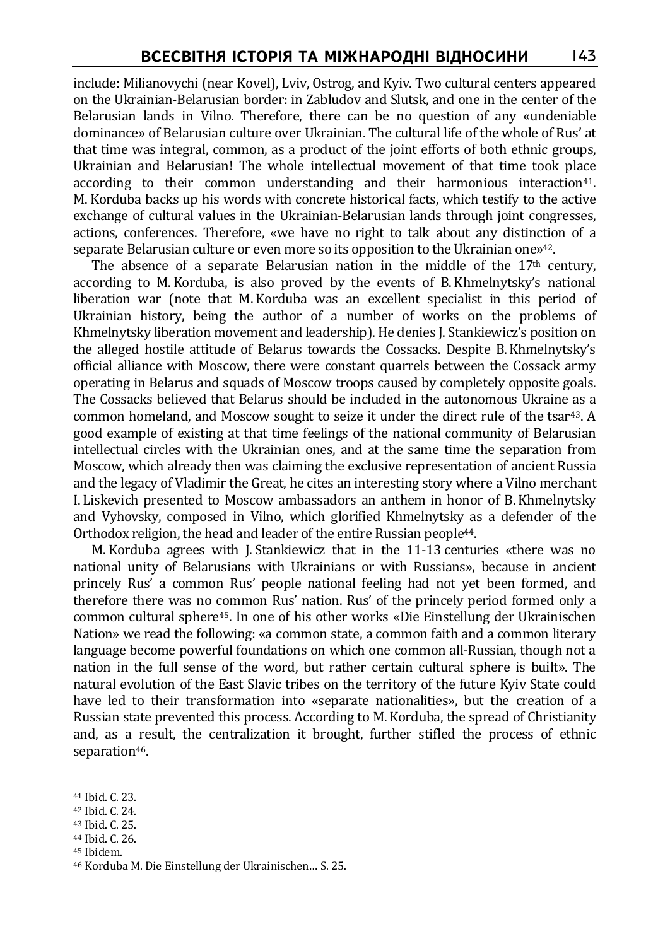include: Milianovychi (near Kovel), Lviv, Ostrog, and Kyiv. Two cultural centers appeared on the Ukrainian-Belarusian border: in Zabludov and Slutsk, and one in the center of the Belarusian lands in Vilno. Therefore, there can be no question of any «undeniable dominance» of Belarusian culture over Ukrainian. The cultural life of the whole of Rus' at that time was integral, common, as a product of the joint efforts of both ethnic groups, Ukrainian and Belarusian! The whole intellectual movement of that time took place according to their common understanding and their harmonious interaction<sup>41</sup>. M. Korduba backs up his words with concrete historical facts, which testify to the active exchange of cultural values in the Ukrainian-Belarusian lands through joint congresses, actions, conferences. Therefore, «we have no right to talk about any distinction of a separate Belarusian culture or even more so its opposition to the Ukrainian one»42.

The absence of a separate Belarusian nation in the middle of the  $17<sup>th</sup>$  century, according to M. Korduba, is also proved by the events of B.Khmelnytsky's national liberation war (note that M. Korduba was an excellent specialist in this period of Ukrainian history, being the author of a number of works on the problems of Khmelnytsky liberation movement and leadership). He denies J. Stankiewicz's position on the alleged hostile attitude of Belarus towards the Cossacks. Despite B.Khmelnytsky's official alliance with Moscow, there were constant quarrels between the Cossack army operating in Belarus and squads of Moscow troops caused by completely opposite goals. The Cossacks believed that Belarus should be included in the autonomous Ukraine as a common homeland, and Moscow sought to seize it under the direct rule of the tsar43. A good example of existing at that time feelings of the national community of Belarusian intellectual circles with the Ukrainian ones, and at the same time the separation from Moscow, which already then was claiming the exclusive representation of ancient Russia and the legacy of Vladimir the Great, he cites an interesting story where a Vilno merchant I. Liskevich presented to Moscow ambassadors an anthem in honor of B.Khmelnytsky and Vyhovsky, composed in Vilno, which glorified Khmelnytsky as a defender of the Orthodox religion, the head and leader of the entire Russian people<sup>44</sup>.

M. Korduba agrees with J. Stankiewicz that in the 11-13 centuries «there was no national unity of Belarusians with Ukrainians or with Russians», because in ancient princely Rus' a common Rus' people national feeling had not yet been formed, and therefore there was no common Rus' nation. Rus' of the princely period formed only a common cultural sphere45. In one of his other works «Die Einstellung der Ukrainischen Nation» we read the following: «a common state, a common faith and a common literary language become powerful foundations on which one common all-Russian, though not a nation in the full sense of the word, but rather certain cultural sphere is built». The natural evolution of the East Slavic tribes on the territory of the future Kyiv State could have led to their transformation into «separate nationalities», but the creation of a Russian state prevented this process. According to M. Korduba, the spread of Christianity and, as a result, the centralization it brought, further stifled the process of ethnic separation<sup>46</sup>.

 $\overline{a}$ 

<sup>45</sup> Ibidem.

<sup>41</sup> Ibid. С. 23.

<sup>42</sup> Ibid. С. 24.

<sup>43</sup> Ibid. С. 25.

<sup>44</sup> Ibid. С. 26.

<sup>46</sup> Korduba M. Die Einstellung der Ukrainisсhen… S. 25.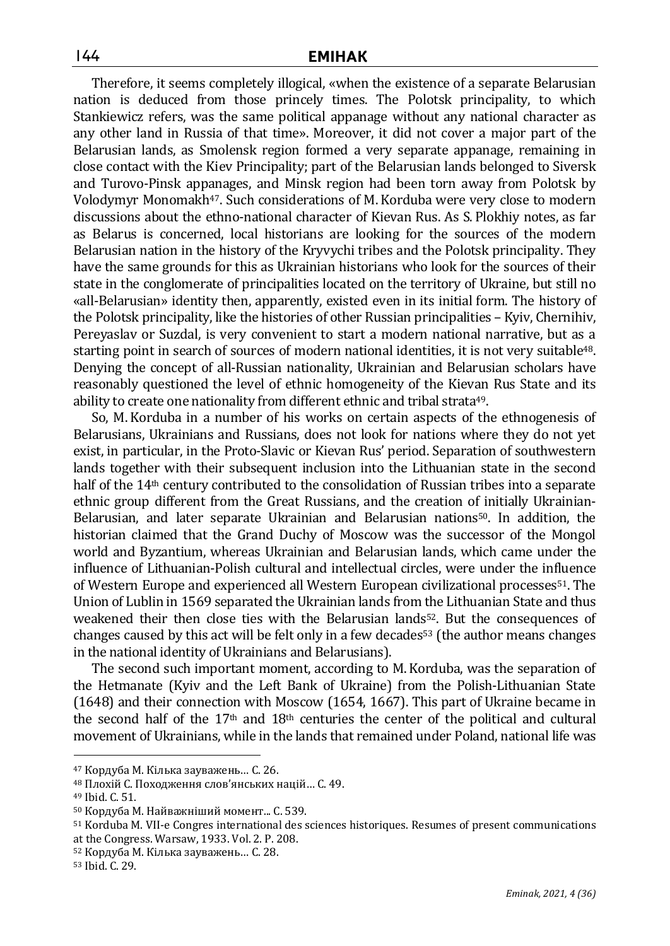Therefore, it seems completely illogical, «when the existence of a separate Belarusian nation is deduced from those princely times. The Polotsk principality, to which Stankiewicz refers, was the same political appanage without any national character as any other land in Russia of that time». Moreover, it did not cover a major part of the Belarusian lands, as Smolensk region formed a very separate appanage, remaining in close contact with the Kiev Principality; part of the Belarusian lands belonged to Siversk and Turovo-Pinsk appanages, and Minsk region had been torn away from Polotsk by Volodymyr Monomakh47. Such considerations of M. Korduba were very close to modern discussions about the ethno-national character of Kievan Rus. As S. Plokhiy notes, as far as Belarus is concerned, local historians are looking for the sources of the modern Belarusian nation in the history of the Kryvychi tribes and the Polotsk principality. They have the same grounds for this as Ukrainian historians who look for the sources of their state in the conglomerate of principalities located on the territory of Ukraine, but still no «all-Belarusian» identity then, apparently, existed even in its initial form. The history of the Polotsk principality, like the histories of other Russian principalities – Kyiv, Chernihiv, Pereyaslav or Suzdal, is very convenient to start a modern national narrative, but as a starting point in search of sources of modern national identities, it is not very suitable<sup>48</sup>. Denying the concept of all-Russian nationality, Ukrainian and Belarusian scholars have reasonably questioned the level of ethnic homogeneity of the Kievan Rus State and its ability to create one nationality from different ethnic and tribal strata<sup>49</sup>.

So, M. Korduba in a number of his works on certain aspects of the ethnogenesis of Belarusians, Ukrainians and Russians, does not look for nations where they do not yet exist, in particular, in the Proto-Slavic or Kievan Rus' period. Separation of southwestern lands together with their subsequent inclusion into the Lithuanian state in the second half of the 14<sup>th</sup> century contributed to the consolidation of Russian tribes into a separate ethnic group different from the Great Russians, and the creation of initially Ukrainian-Belarusian, and later separate Ukrainian and Belarusian nations50. In addition, the historian claimed that the Grand Duchy of Moscow was the successor of the Mongol world and Byzantium, whereas Ukrainian and Belarusian lands, which came under the influence of Lithuanian-Polish cultural and intellectual circles, were under the influence of Western Europe and experienced all Western European civilizational processes51. The Union of Lublin in 1569 separated the Ukrainian lands from the Lithuanian State and thus weakened their then close ties with the Belarusian lands<sup>52</sup>. But the consequences of changes caused by this act will be felt only in a few decades<sup>53</sup> (the author means changes in the national identity of Ukrainians and Belarusians).

The second such important moment, according to M.Korduba, was the separation of the Hetmanate (Kyiv and the Left Bank of Ukraine) from the Polish-Lithuanian State (1648) and their connection with Moscow (1654, 1667). This part of Ukraine became in the second half of the  $17<sup>th</sup>$  and  $18<sup>th</sup>$  centuries the center of the political and cultural movement of Ukrainians, while in the lands that remained under Poland, national life was

 $\overline{a}$ 

<sup>52</sup> Кордуба М. Кілька зауважень… С. 28.

<sup>47</sup> Кордуба М. Кілька зауважень… С. 26.

<sup>48</sup> Плохій С. Походження слов'янських націй… С. 49.

<sup>49</sup> Ibid. С. 51.

<sup>50</sup> Кордуба М. Найважніший момент... С. 539.

<sup>51</sup> Korduba M. VII-e Congres international des sciences historiques. Resumes of present communications at the Congress. Warsaw, 1933. Vol. 2. P. 208.

<sup>53</sup> Ibid. С. 29.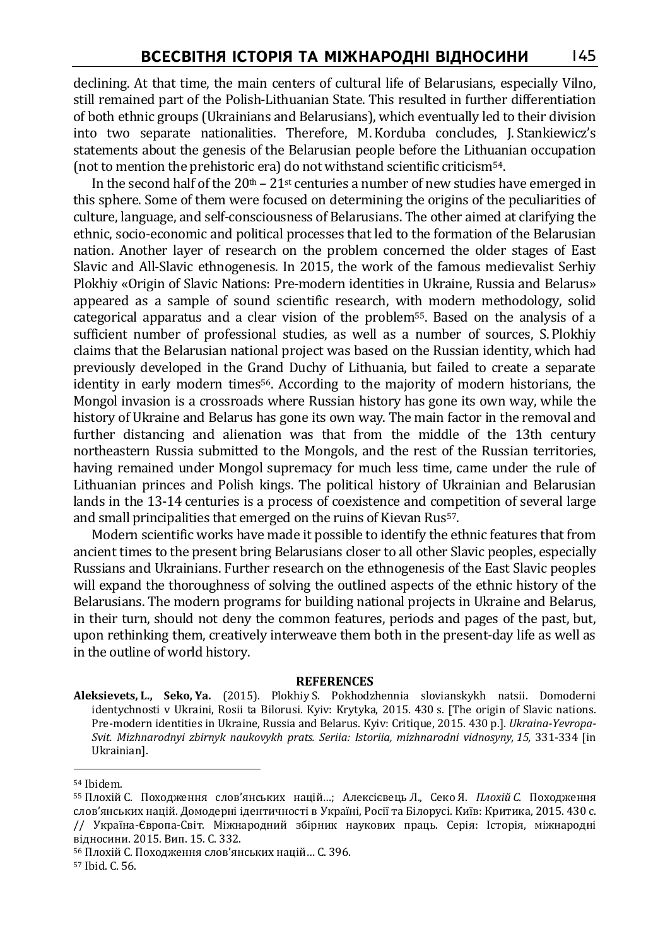declining. At that time, the main centers of cultural life of Belarusians, especially Vilno, still remained part of the Polish-Lithuanian State. This resulted in further differentiation of both ethnic groups (Ukrainians and Belarusians), which eventually led to their division into two separate nationalities. Therefore, M.Korduba concludes, J. Stankiewicz's statements about the genesis of the Belarusian people before the Lithuanian occupation (not to mention the prehistoric era) do not withstand scientific criticism54.

In the second half of the  $20<sup>th</sup> - 21<sup>st</sup>$  centuries a number of new studies have emerged in this sphere. Some of them were focused on determining the origins of the peculiarities of culture, language, and self-consciousness of Belarusians. The other aimed at clarifying the ethnic, socio-economic and political processes that led to the formation of the Belarusian nation. Another layer of research on the problem concerned the older stages of East Slavic and All-Slavic ethnogenesis. In 2015, the work of the famous medievalist Serhiy Plokhiy «Origin of Slavic Nations: Pre-modern identities in Ukraine, Russia and Belarus» appeared as a sample of sound scientific research, with modern methodology, solid categorical apparatus and a clear vision of the problem55. Based on the analysis of a sufficient number of professional studies, as well as a number of sources, S. Plokhiy claims that the Belarusian national project was based on the Russian identity, which had previously developed in the Grand Duchy of Lithuania, but failed to create a separate identity in early modern times<sup>56</sup>. According to the majority of modern historians, the Mongol invasion is a crossroads where Russian history has gone its own way, while the history of Ukraine and Belarus has gone its own way. The main factor in the removal and further distancing and alienation was that from the middle of the 13th century northeastern Russia submitted to the Mongols, and the rest of the Russian territories, having remained under Mongol supremacy for much less time, came under the rule of Lithuanian princes and Polish kings. The political history of Ukrainian and Belarusian lands in the 13-14 centuries is a process of coexistence and competition of several large and small principalities that emerged on the ruins of Kievan Rus57.

Modern scientific works have made it possible to identify the ethnic features that from ancient times to the present bring Belarusians closer to all other Slavic peoples, especially Russians and Ukrainians. Further research on the ethnogenesis of the East Slavic peoples will expand the thoroughness of solving the outlined aspects of the ethnic history of the Belarusians. The modern programs for building national projects in Ukraine and Belarus, in their turn, should not deny the common features, periods and pages of the past, but, upon rethinking them, creatively interweave them both in the present-day life as well as in the outline of world history.

#### **REFERENCES**

**Aleksievets, L., Seko, Ya.** (2015). Plokhiy S. Pokhodzhennia slovianskykh natsii. Domoderni identychnosti v Ukraini, Rosii ta Bilorusi. Kyiv: Krytyka, 2015. 430 s. [The origin of Slavic nations. Pre-modern identities in Ukraine, Russia and Belarus. Kyiv: Critique, 2015. 430 p.]. *Ukraina-Yevropa-Svit. Mizhnarodnyi zbirnyk naukovykh prats. Seriia: Istoriia, mizhnarodni vidnosyny, 15,* 331-334 [in Ukrainian].

<sup>54</sup> Ibidem.

<sup>55</sup> Плохій С. Походження слов'янських націй…; Алексієвець Л., Секо Я. *Плохій С.* Походження слов'янських націй. Домодерні ідентичності в Україні, Росії та Білорусі. Київ: Критика, 2015. 430 с. // Україна-Європа-Світ. Міжнародний збірник наукових праць. Серія: Історія, міжнародні відносини. 2015. Вип. 15. С. 332.

<sup>56</sup> Плохій С. Походження слов'янських націй… С. 396.

<sup>57</sup> Ibid. С. 56.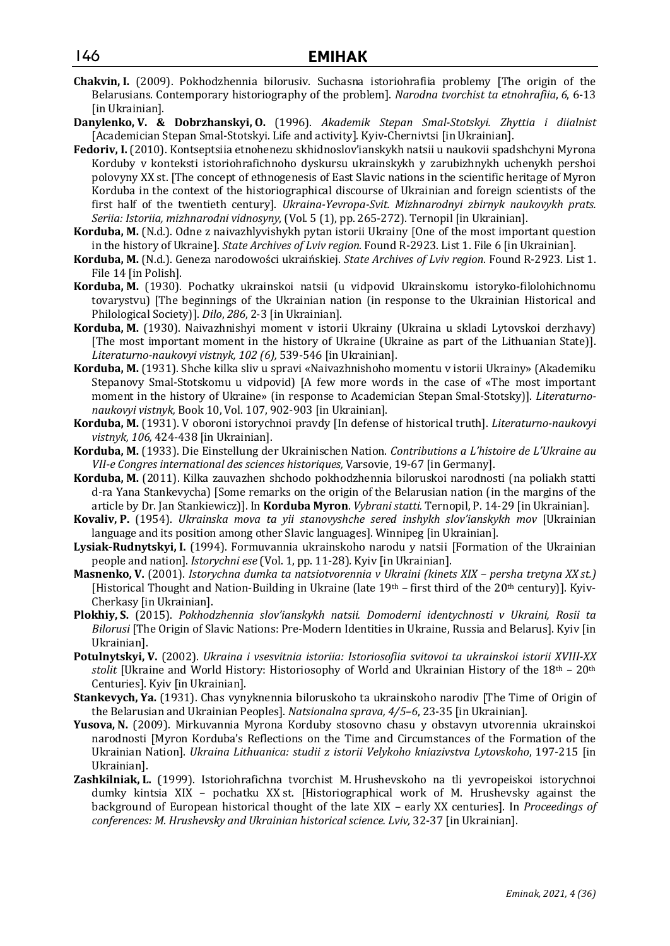- **Chakvin, I.** (2009). Pokhodzhennia bilorusiv. Suchasna istoriohrafiia problemy [The origin of the Belarusians. Contemporary historiography of the problem]. *Narodna tvorchist ta etnohrafiia*, *6*, 6-13 [in Ukrainian].
- **Danylenko, V. & Dobrzhanskyi, O.** (1996). *Akademik Stepan Smal-Stotskyi. Zhyttia i diialnist*  [Academician Stepan Smal-Stotskyi. Life and activity]. Kyiv-Chernivtsi [in Ukrainian].
- **Fedoriv, I.** (2010). Kontseptsiia etnohenezu skhidnoslov'ianskykh natsii u naukovii spadshchyni Myrona Korduby v konteksti istoriohrafichnoho dyskursu ukrainskykh y zarubizhnykh uchenykh pershoi polovyny XX st. [The concept of ethnogenesis of East Slavic nations in the scientific heritage of Myron Korduba in the context of the historiographical discourse of Ukrainian and foreign scientists of the first half of the twentieth century]. *Ukraina-Yevropa-Svit. Mizhnarodnyi zbirnyk naukovykh prats. Seriia: Istoriia, mizhnarodni vidnosyny*, (Vol. 5 (1), pp. 265-272). Ternopil [in Ukrainian].
- **Korduba, M.** (N.d.). Odne z naivazhlyvishykh pytan istorii Ukrainy [One of the most important question in the history of Ukraine]. *State Archives of Lviv region*. Found R-2923. List 1. File 6 [in Ukrainian].
- **Korduba, M.** (N.d.). Geneza narodowości ukraińskiej. *State Archives of Lviv region*. Found R-2923. List 1. File 14 [in Polish].
- **Korduba, M.** (1930). Pochatky ukrainskoi natsii (u vidpovid Ukrainskomu istoryko-filolohichnomu tovarystvu) [The beginnings of the Ukrainian nation (in response to the Ukrainian Historical and Philological Society)]. *Dilo*, *286*, 2-3 [in Ukrainian].
- **Korduba, M.** (1930). Naivazhnishyi moment v istorii Ukrainy (Ukraina u skladi Lytovskoi derzhavy) [The most important moment in the history of Ukraine (Ukraine as part of the Lithuanian State)]. *Literaturno-naukovyi vistnyk, 102 (6),* 539-546 [in Ukrainian].
- **Korduba, M.** (1931). Shche kilka sliv u spravi «Naivazhnishoho momentu v istorii Ukrainy» (Akademiku Stepanovy Smal-Stotskomu u vidpovid) [A few more words in the case of «The most important moment in the history of Ukraine» (in response to Academician Stepan Smal-Stotsky)]. *Literaturnonaukovyi vistnyk,* Book 10, Vol. 107, 902-903 [in Ukrainian].
- **Korduba, M.** (1931). V oboroni istorychnoi pravdy [In defense of historical truth]. *Literaturno-naukovyi vistnyk, 106,* 424-438 [in Ukrainian].
- **Korduba, M.** (1933). Die Einstellung der Ukrainischen Nation. *Contributions a L'histoire de L'Ukraine au VII-e Congres international des sciences historiques,* Varsovie, 19-67 [in Germany].
- **Korduba, M.** (2011). Kilka zauvazhen shchodo pokhodzhennia biloruskoi narodnosti (na poliakh statti d-ra Yana Stankevycha) [Some remarks on the origin of the Belarusian nation (in the margins of the article by Dr. Jan Stankiewicz)]. In **Korduba Myron**. *Vybrani statti.* Ternopil, P. 14-29 [in Ukrainian].
- **Kovaliv, P.** (1954). *Ukrainska mova ta yii stanovyshche sered inshykh slov'ianskykh mov* [Ukrainian language and its position among other Slavic languages]. Winnipeg [in Ukrainian].
- **Lysiak-Rudnytskyi, I.** (1994). Formuvannia ukrainskoho narodu y natsii [Formation of the Ukrainian people and nation]. *Istorychni ese* (Vol. 1, pp. 11-28)*.* Kyiv [in Ukrainian].
- **Masnenko, V.** (2001). *Istorychna dumka ta natsiotvorennia v Ukraini (kinets XIX persha tretyna XX st.)* [Historical Thought and Nation-Building in Ukraine (late  $19<sup>th</sup>$  – first third of the 20<sup>th</sup> century)]. Kyiv-Cherkasy [in Ukrainian].
- **Plokhiy, S.** (2015). *Pokhodzhennia slov'ianskykh natsii. Domoderni identychnosti v Ukraini, Rosii ta Bilorusi* [The Origin of Slavic Nations: Pre-Modern Identities in Ukraine, Russia and Belarus]. Kyiv [in Ukrainian].
- **Potulnytskyi, V.** (2002). *Ukraina i vsesvitnia istoriia: Istoriosofiia svitovoi ta ukrainskoi istorii XVIII-XX stolit* [Ukraine and World History: Historiosophy of World and Ukrainian History of the 18th – 20th Centuries]. Kyiv [in Ukrainian].
- **Stankevych, Ya.** (1931). Chas vynyknennia biloruskoho ta ukrainskoho narodiv [The Time of Origin of the Belarusian and Ukrainian Peoples]. *Natsionalna sprava, 4/5–6*, 23-35 [in Ukrainian].
- **Yusova, N.** (2009). Mirkuvannia Myrona Korduby stosovno chasu y obstavyn utvorennia ukrainskoi narodnosti [Myron Korduba's Reflections on the Time and Circumstances of the Formation of the Ukrainian Nation]. *Ukraina Lithuanica: studii z istorii Velykoho kniazivstva Lytovskoho*, 197-215 [in Ukrainian].
- **Zashkilniak, L.** (1999). Istoriohrafichna tvorchist M. Hrushevskoho na tli yevropeiskoi istorychnoi dumky kintsia XIX – pochatku XX st. [Historiographical work of M. Hrushevsky against the background of European historical thought of the late XIX – early XX centuries]. In *Proceedings of conferences: M. Hrushevsky and Ukrainian historical science. Lviv,* 32-37 [in Ukrainian].